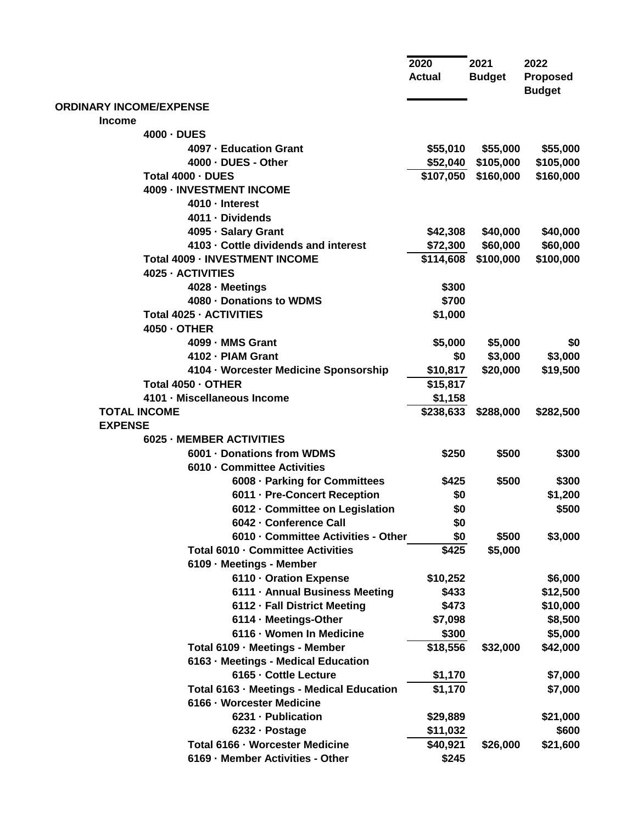|                                           | 2020<br><b>Actual</b> | 2021<br><b>Budget</b> | 2022<br><b>Proposed</b><br><b>Budget</b> |
|-------------------------------------------|-----------------------|-----------------------|------------------------------------------|
| <b>ORDINARY INCOME/EXPENSE</b>            |                       |                       |                                          |
| <b>Income</b>                             |                       |                       |                                          |
| 4000 - DUES                               |                       |                       |                                          |
| 4097 - Education Grant                    | \$55,010              | \$55,000              | \$55,000                                 |
| 4000 - DUES - Other                       | \$52,040              | \$105,000             | \$105,000                                |
| Total 4000 - DUES                         | \$107,050             | \$160,000             | \$160,000                                |
| <b>4009 - INVESTMENT INCOME</b>           |                       |                       |                                          |
| 4010 - Interest                           |                       |                       |                                          |
| 4011 - Dividends                          |                       |                       |                                          |
| 4095 - Salary Grant                       | \$42,308              | \$40,000              | \$40,000                                 |
| 4103 - Cottle dividends and interest      | \$72,300              | \$60,000              | \$60,000                                 |
| <b>Total 4009 - INVESTMENT INCOME</b>     | \$114,608             | \$100,000             | \$100,000                                |
| 4025 - ACTIVITIES                         |                       |                       |                                          |
| 4028 - Meetings                           | \$300                 |                       |                                          |
| 4080 - Donations to WDMS                  | \$700                 |                       |                                          |
| <b>Total 4025 - ACTIVITIES</b>            | \$1,000               |                       |                                          |
| 4050 - OTHER                              |                       |                       |                                          |
| 4099 - MMS Grant                          | \$5,000               | \$5,000               | \$0                                      |
| 4102 - PIAM Grant                         | \$0                   | \$3,000               | \$3,000                                  |
| 4104 - Worcester Medicine Sponsorship     | \$10,817              | \$20,000              | \$19,500                                 |
| Total 4050 - OTHER                        | \$15,817              |                       |                                          |
| 4101 - Miscellaneous Income               | \$1,158               |                       |                                          |
| <b>TOTAL INCOME</b>                       | \$238,633             | \$288,000             | \$282,500                                |
| <b>EXPENSE</b>                            |                       |                       |                                          |
| 6025 - MEMBER ACTIVITIES                  |                       |                       |                                          |
| 6001 - Donations from WDMS                | \$250                 | \$500                 | \$300                                    |
| 6010 - Committee Activities               |                       |                       |                                          |
| 6008 · Parking for Committees             | \$425                 | \$500                 | \$300                                    |
| 6011 - Pre-Concert Reception              | \$0                   |                       | \$1,200                                  |
| 6012 - Committee on Legislation           | \$0                   |                       | \$500                                    |
| 6042 - Conference Call                    | \$0                   |                       |                                          |
| 6010 - Committee Activities - Other       | \$0                   | \$500                 | \$3,000                                  |
| Total 6010 - Committee Activities         | \$425                 | \$5,000               |                                          |
| 6109 - Meetings - Member                  |                       |                       |                                          |
| 6110 - Oration Expense                    | \$10,252              |                       | \$6,000                                  |
| 6111 · Annual Business Meeting            | \$433                 |                       | \$12,500                                 |
| 6112 · Fall District Meeting              | \$473                 |                       | \$10,000                                 |
| 6114 · Meetings-Other                     | \$7,098               |                       | \$8,500                                  |
| 6116 - Women In Medicine                  | \$300                 |                       | \$5,000                                  |
| Total 6109 · Meetings - Member            | \$18,556              | \$32,000              | \$42,000                                 |
| 6163 - Meetings - Medical Education       |                       |                       |                                          |
| 6165 - Cottle Lecture                     | \$1,170               |                       | \$7,000                                  |
| Total 6163 - Meetings - Medical Education | \$1,170               |                       | \$7,000                                  |
| 6166 - Worcester Medicine                 |                       |                       |                                          |
| 6231 - Publication                        | \$29,889              |                       | \$21,000                                 |
| 6232 · Postage                            | \$11,032              |                       | \$600                                    |
| Total 6166 - Worcester Medicine           | \$40,921              | \$26,000              | \$21,600                                 |
| 6169 - Member Activities - Other          | \$245                 |                       |                                          |
|                                           |                       |                       |                                          |